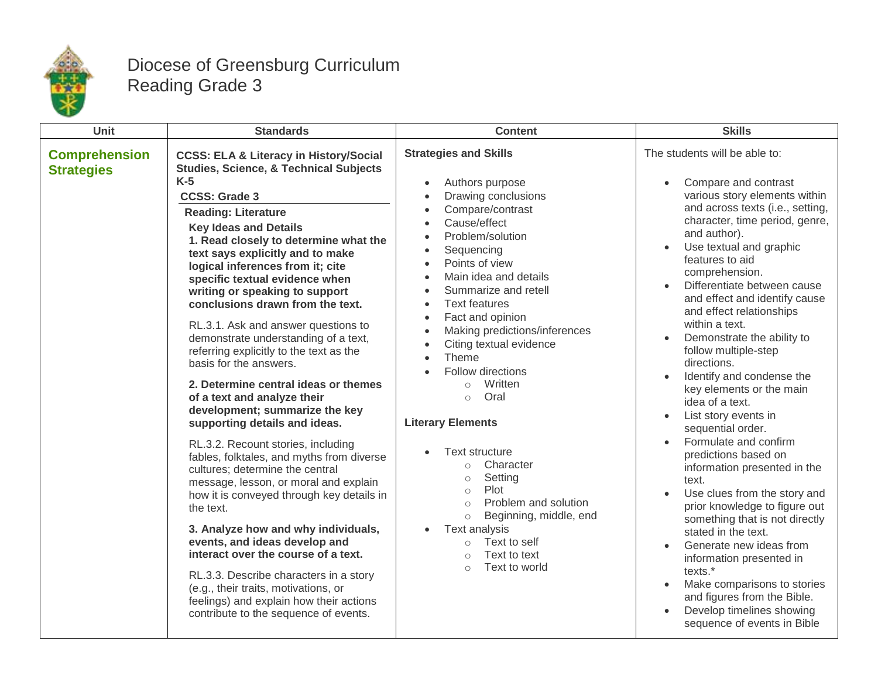

## Diocese of Greensburg Curriculum Reading Grade 3

| Unit                                      | <b>Standards</b>                                                                                                                                                                                                                                                                                                                                                                                                                                                                                                                                                                                                                                                                                                                                                                                                                                                                                                                                                                                                                                                                                                                                                                                                                           | <b>Content</b>                                                                                                                                                                                                                                                                                                                                                                                                                                                                                                                                                                                                                                                                                 | <b>Skills</b>                                                                                                                                                                                                                                                                                                                                                                                                                                                                                                                                                                                                                                                                                                                                                                                                                                                                                                                                                                                                                                                                                              |
|-------------------------------------------|--------------------------------------------------------------------------------------------------------------------------------------------------------------------------------------------------------------------------------------------------------------------------------------------------------------------------------------------------------------------------------------------------------------------------------------------------------------------------------------------------------------------------------------------------------------------------------------------------------------------------------------------------------------------------------------------------------------------------------------------------------------------------------------------------------------------------------------------------------------------------------------------------------------------------------------------------------------------------------------------------------------------------------------------------------------------------------------------------------------------------------------------------------------------------------------------------------------------------------------------|------------------------------------------------------------------------------------------------------------------------------------------------------------------------------------------------------------------------------------------------------------------------------------------------------------------------------------------------------------------------------------------------------------------------------------------------------------------------------------------------------------------------------------------------------------------------------------------------------------------------------------------------------------------------------------------------|------------------------------------------------------------------------------------------------------------------------------------------------------------------------------------------------------------------------------------------------------------------------------------------------------------------------------------------------------------------------------------------------------------------------------------------------------------------------------------------------------------------------------------------------------------------------------------------------------------------------------------------------------------------------------------------------------------------------------------------------------------------------------------------------------------------------------------------------------------------------------------------------------------------------------------------------------------------------------------------------------------------------------------------------------------------------------------------------------------|
| <b>Comprehension</b><br><b>Strategies</b> | <b>CCSS: ELA &amp; Literacy in History/Social</b><br><b>Studies, Science, &amp; Technical Subjects</b><br>$K-5$<br><b>CCSS: Grade 3</b><br><b>Reading: Literature</b><br><b>Key Ideas and Details</b><br>1. Read closely to determine what the<br>text says explicitly and to make<br>logical inferences from it; cite<br>specific textual evidence when<br>writing or speaking to support<br>conclusions drawn from the text.<br>RL.3.1. Ask and answer questions to<br>demonstrate understanding of a text,<br>referring explicitly to the text as the<br>basis for the answers.<br>2. Determine central ideas or themes<br>of a text and analyze their<br>development; summarize the key<br>supporting details and ideas.<br>RL.3.2. Recount stories, including<br>fables, folktales, and myths from diverse<br>cultures; determine the central<br>message, lesson, or moral and explain<br>how it is conveyed through key details in<br>the text.<br>3. Analyze how and why individuals,<br>events, and ideas develop and<br>interact over the course of a text.<br>RL.3.3. Describe characters in a story<br>(e.g., their traits, motivations, or<br>feelings) and explain how their actions<br>contribute to the sequence of events. | <b>Strategies and Skills</b><br>Authors purpose<br>Drawing conclusions<br>Compare/contrast<br>Cause/effect<br>Problem/solution<br>Sequencing<br>Points of view<br>Main idea and details<br>Summarize and retell<br><b>Text features</b><br>Fact and opinion<br>Making predictions/inferences<br>Citing textual evidence<br>Theme<br>Follow directions<br>Written<br>$\bigcap$<br>Oral<br>$\circ$<br><b>Literary Elements</b><br>Text structure<br>Character<br>$\bigcap$<br>Setting<br>$\circ$<br>Plot<br>$\circ$<br>Problem and solution<br>$\circ$<br>Beginning, middle, end<br>$\circ$<br>Text analysis<br>Text to self<br>$\circ$<br>Text to text<br>$\bigcap$<br>Text to world<br>$\circ$ | The students will be able to:<br>Compare and contrast<br>$\bullet$<br>various story elements within<br>and across texts (i.e., setting,<br>character, time period, genre,<br>and author).<br>Use textual and graphic<br>$\bullet$<br>features to aid<br>comprehension.<br>Differentiate between cause<br>and effect and identify cause<br>and effect relationships<br>within a text.<br>Demonstrate the ability to<br>$\bullet$<br>follow multiple-step<br>directions.<br>Identify and condense the<br>$\bullet$<br>key elements or the main<br>idea of a text.<br>List story events in<br>$\bullet$<br>sequential order.<br>Formulate and confirm<br>$\bullet$<br>predictions based on<br>information presented in the<br>text.<br>Use clues from the story and<br>$\bullet$<br>prior knowledge to figure out<br>something that is not directly<br>stated in the text.<br>Generate new ideas from<br>$\bullet$<br>information presented in<br>texts.*<br>Make comparisons to stories<br>$\bullet$<br>and figures from the Bible.<br>Develop timelines showing<br>$\bullet$<br>sequence of events in Bible |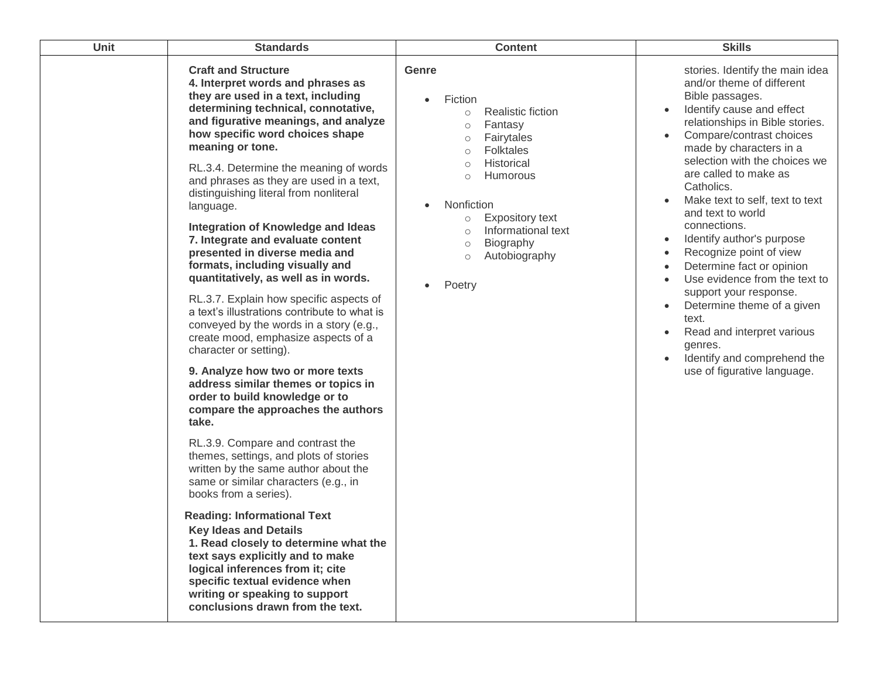| Unit | <b>Standards</b>                                                                                                                                                                                                                                                                                                                                                                                                                                                                                                                                                                                                                                                                                                                                                                                                                                                                                                                                                                                                                                                                                                                                                                                                                                                                                                                                                                                                                                | <b>Content</b>                                                                                                                                                                                                                                                                                                                          | <b>Skills</b>                                                                                                                                                                                                                                                                                                                                                                                                                                                                                                                                                                                                                                                                                            |
|------|-------------------------------------------------------------------------------------------------------------------------------------------------------------------------------------------------------------------------------------------------------------------------------------------------------------------------------------------------------------------------------------------------------------------------------------------------------------------------------------------------------------------------------------------------------------------------------------------------------------------------------------------------------------------------------------------------------------------------------------------------------------------------------------------------------------------------------------------------------------------------------------------------------------------------------------------------------------------------------------------------------------------------------------------------------------------------------------------------------------------------------------------------------------------------------------------------------------------------------------------------------------------------------------------------------------------------------------------------------------------------------------------------------------------------------------------------|-----------------------------------------------------------------------------------------------------------------------------------------------------------------------------------------------------------------------------------------------------------------------------------------------------------------------------------------|----------------------------------------------------------------------------------------------------------------------------------------------------------------------------------------------------------------------------------------------------------------------------------------------------------------------------------------------------------------------------------------------------------------------------------------------------------------------------------------------------------------------------------------------------------------------------------------------------------------------------------------------------------------------------------------------------------|
|      | <b>Craft and Structure</b><br>4. Interpret words and phrases as<br>they are used in a text, including<br>determining technical, connotative,<br>and figurative meanings, and analyze<br>how specific word choices shape<br>meaning or tone.<br>RL.3.4. Determine the meaning of words<br>and phrases as they are used in a text,<br>distinguishing literal from nonliteral<br>language.<br><b>Integration of Knowledge and Ideas</b><br>7. Integrate and evaluate content<br>presented in diverse media and<br>formats, including visually and<br>quantitatively, as well as in words.<br>RL.3.7. Explain how specific aspects of<br>a text's illustrations contribute to what is<br>conveyed by the words in a story (e.g.,<br>create mood, emphasize aspects of a<br>character or setting).<br>9. Analyze how two or more texts<br>address similar themes or topics in<br>order to build knowledge or to<br>compare the approaches the authors<br>take.<br>RL.3.9. Compare and contrast the<br>themes, settings, and plots of stories<br>written by the same author about the<br>same or similar characters (e.g., in<br>books from a series).<br><b>Reading: Informational Text</b><br><b>Key Ideas and Details</b><br>1. Read closely to determine what the<br>text says explicitly and to make<br>logical inferences from it; cite<br>specific textual evidence when<br>writing or speaking to support<br>conclusions drawn from the text. | <b>Genre</b><br>Fiction<br>Realistic fiction<br>$\circ$<br>Fantasy<br>$\circ$<br>Fairytales<br>$\circ$<br><b>Folktales</b><br>$\circ$<br>Historical<br>$\circ$<br>Humorous<br>$\circ$<br>Nonfiction<br><b>Expository text</b><br>$\circ$<br>Informational text<br>$\circ$<br>Biography<br>$\circ$<br>Autobiography<br>$\circ$<br>Poetry | stories. Identify the main idea<br>and/or theme of different<br>Bible passages.<br>Identify cause and effect<br>relationships in Bible stories.<br>Compare/contrast choices<br>$\bullet$<br>made by characters in a<br>selection with the choices we<br>are called to make as<br>Catholics.<br>Make text to self, text to text<br>and text to world<br>connections.<br>Identify author's purpose<br>$\bullet$<br>Recognize point of view<br>$\bullet$<br>Determine fact or opinion<br>$\bullet$<br>Use evidence from the text to<br>support your response.<br>Determine theme of a given<br>text.<br>Read and interpret various<br>genres.<br>Identify and comprehend the<br>use of figurative language. |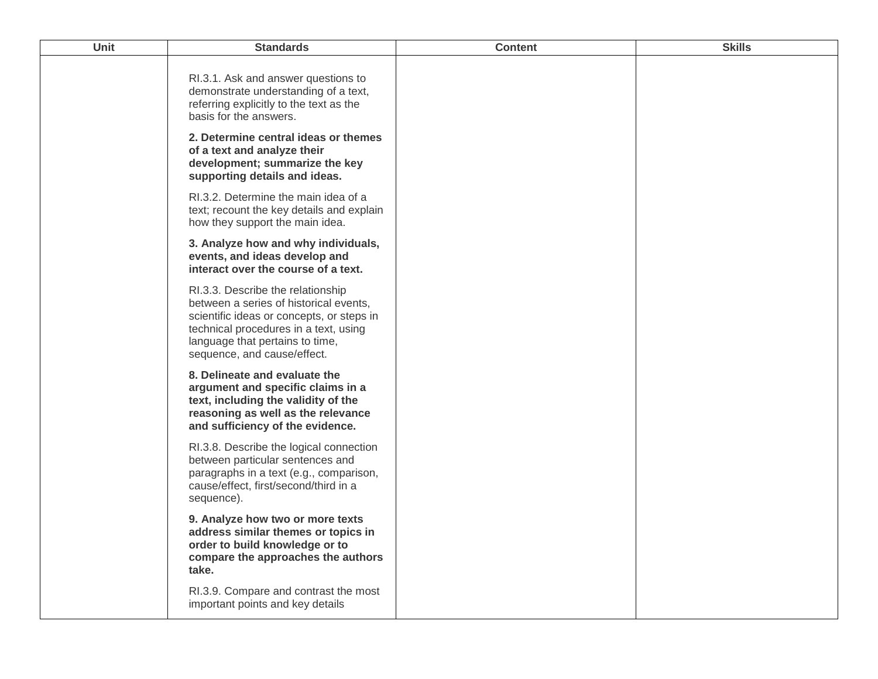| Unit | <b>Standards</b>                                                                                                                                                                                                                    | <b>Content</b> | <b>Skills</b> |
|------|-------------------------------------------------------------------------------------------------------------------------------------------------------------------------------------------------------------------------------------|----------------|---------------|
|      | RI.3.1. Ask and answer questions to<br>demonstrate understanding of a text,<br>referring explicitly to the text as the<br>basis for the answers.<br>2. Determine central ideas or themes                                            |                |               |
|      | of a text and analyze their<br>development; summarize the key<br>supporting details and ideas.                                                                                                                                      |                |               |
|      | RI.3.2. Determine the main idea of a<br>text; recount the key details and explain<br>how they support the main idea.                                                                                                                |                |               |
|      | 3. Analyze how and why individuals,<br>events, and ideas develop and<br>interact over the course of a text.                                                                                                                         |                |               |
|      | RI.3.3. Describe the relationship<br>between a series of historical events,<br>scientific ideas or concepts, or steps in<br>technical procedures in a text, using<br>language that pertains to time,<br>sequence, and cause/effect. |                |               |
|      | 8. Delineate and evaluate the<br>argument and specific claims in a<br>text, including the validity of the<br>reasoning as well as the relevance<br>and sufficiency of the evidence.                                                 |                |               |
|      | RI.3.8. Describe the logical connection<br>between particular sentences and<br>paragraphs in a text (e.g., comparison,<br>cause/effect, first/second/third in a<br>sequence).                                                       |                |               |
|      | 9. Analyze how two or more texts<br>address similar themes or topics in<br>order to build knowledge or to<br>compare the approaches the authors<br>take.                                                                            |                |               |
|      | RI.3.9. Compare and contrast the most<br>important points and key details                                                                                                                                                           |                |               |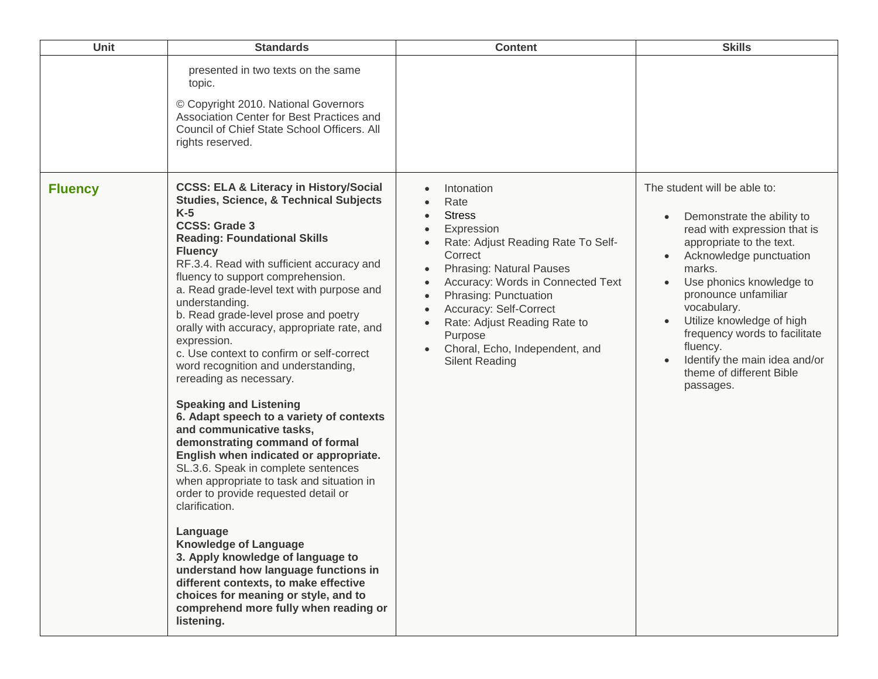| Unit           | <b>Standards</b>                                                                                                                                                                                                                                                                                                                                                                                                                                                                                                                                                                                                                                                                                                                                                                                                                                                                                                                                                                                                                                                                                                                                                            | <b>Content</b>                                                                                                                                                                                                                                                                                                                                                                                                    | <b>Skills</b>                                                                                                                                                                                                                                                                                                                                                                      |
|----------------|-----------------------------------------------------------------------------------------------------------------------------------------------------------------------------------------------------------------------------------------------------------------------------------------------------------------------------------------------------------------------------------------------------------------------------------------------------------------------------------------------------------------------------------------------------------------------------------------------------------------------------------------------------------------------------------------------------------------------------------------------------------------------------------------------------------------------------------------------------------------------------------------------------------------------------------------------------------------------------------------------------------------------------------------------------------------------------------------------------------------------------------------------------------------------------|-------------------------------------------------------------------------------------------------------------------------------------------------------------------------------------------------------------------------------------------------------------------------------------------------------------------------------------------------------------------------------------------------------------------|------------------------------------------------------------------------------------------------------------------------------------------------------------------------------------------------------------------------------------------------------------------------------------------------------------------------------------------------------------------------------------|
|                | presented in two texts on the same<br>topic.<br>© Copyright 2010. National Governors<br>Association Center for Best Practices and<br>Council of Chief State School Officers. All<br>rights reserved.                                                                                                                                                                                                                                                                                                                                                                                                                                                                                                                                                                                                                                                                                                                                                                                                                                                                                                                                                                        |                                                                                                                                                                                                                                                                                                                                                                                                                   |                                                                                                                                                                                                                                                                                                                                                                                    |
| <b>Fluency</b> | <b>CCSS: ELA &amp; Literacy in History/Social</b><br><b>Studies, Science, &amp; Technical Subjects</b><br>$K-5$<br><b>CCSS: Grade 3</b><br><b>Reading: Foundational Skills</b><br><b>Fluency</b><br>RF.3.4. Read with sufficient accuracy and<br>fluency to support comprehension.<br>a. Read grade-level text with purpose and<br>understanding.<br>b. Read grade-level prose and poetry<br>orally with accuracy, appropriate rate, and<br>expression.<br>c. Use context to confirm or self-correct<br>word recognition and understanding,<br>rereading as necessary.<br><b>Speaking and Listening</b><br>6. Adapt speech to a variety of contexts<br>and communicative tasks,<br>demonstrating command of formal<br>English when indicated or appropriate.<br>SL.3.6. Speak in complete sentences<br>when appropriate to task and situation in<br>order to provide requested detail or<br>clarification.<br>Language<br><b>Knowledge of Language</b><br>3. Apply knowledge of language to<br>understand how language functions in<br>different contexts, to make effective<br>choices for meaning or style, and to<br>comprehend more fully when reading or<br>listening. | Intonation<br>Rate<br><b>Stress</b><br>$\bullet$<br>Expression<br>$\bullet$<br>Rate: Adjust Reading Rate To Self-<br>Correct<br><b>Phrasing: Natural Pauses</b><br>$\bullet$<br>Accuracy: Words in Connected Text<br>$\bullet$<br>Phrasing: Punctuation<br>$\bullet$<br>Accuracy: Self-Correct<br>$\bullet$<br>Rate: Adjust Reading Rate to<br>Purpose<br>Choral, Echo, Independent, and<br><b>Silent Reading</b> | The student will be able to:<br>Demonstrate the ability to<br>read with expression that is<br>appropriate to the text.<br>Acknowledge punctuation<br>marks.<br>Use phonics knowledge to<br>pronounce unfamiliar<br>vocabulary.<br>Utilize knowledge of high<br>frequency words to facilitate<br>fluency.<br>Identify the main idea and/or<br>theme of different Bible<br>passages. |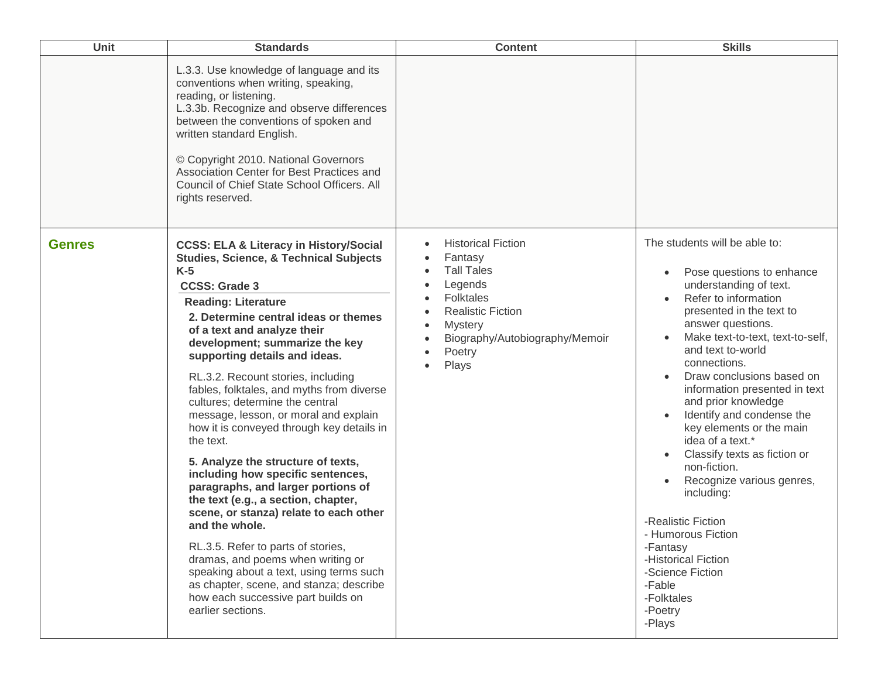| Unit          | <b>Standards</b>                                                                                                                                                                                                                                                                                                                                                                                                                                                                                                                                                                                                                                                                                                                                                                                                                                                                                                                                                                         | <b>Content</b>                                                                                                                                                                              | <b>Skills</b>                                                                                                                                                                                                                                                                                                                                                                                                                                                                                                                                                                                                                                       |
|---------------|------------------------------------------------------------------------------------------------------------------------------------------------------------------------------------------------------------------------------------------------------------------------------------------------------------------------------------------------------------------------------------------------------------------------------------------------------------------------------------------------------------------------------------------------------------------------------------------------------------------------------------------------------------------------------------------------------------------------------------------------------------------------------------------------------------------------------------------------------------------------------------------------------------------------------------------------------------------------------------------|---------------------------------------------------------------------------------------------------------------------------------------------------------------------------------------------|-----------------------------------------------------------------------------------------------------------------------------------------------------------------------------------------------------------------------------------------------------------------------------------------------------------------------------------------------------------------------------------------------------------------------------------------------------------------------------------------------------------------------------------------------------------------------------------------------------------------------------------------------------|
|               | L.3.3. Use knowledge of language and its<br>conventions when writing, speaking,<br>reading, or listening.<br>L.3.3b. Recognize and observe differences<br>between the conventions of spoken and<br>written standard English.<br>© Copyright 2010. National Governors<br>Association Center for Best Practices and<br>Council of Chief State School Officers. All<br>rights reserved.                                                                                                                                                                                                                                                                                                                                                                                                                                                                                                                                                                                                     |                                                                                                                                                                                             |                                                                                                                                                                                                                                                                                                                                                                                                                                                                                                                                                                                                                                                     |
| <b>Genres</b> | <b>CCSS: ELA &amp; Literacy in History/Social</b><br><b>Studies, Science, &amp; Technical Subjects</b><br>$K-5$<br><b>CCSS: Grade 3</b><br><b>Reading: Literature</b><br>2. Determine central ideas or themes<br>of a text and analyze their<br>development; summarize the key<br>supporting details and ideas.<br>RL.3.2. Recount stories, including<br>fables, folktales, and myths from diverse<br>cultures; determine the central<br>message, lesson, or moral and explain<br>how it is conveyed through key details in<br>the text.<br>5. Analyze the structure of texts,<br>including how specific sentences,<br>paragraphs, and larger portions of<br>the text (e.g., a section, chapter,<br>scene, or stanza) relate to each other<br>and the whole.<br>RL.3.5. Refer to parts of stories,<br>dramas, and poems when writing or<br>speaking about a text, using terms such<br>as chapter, scene, and stanza; describe<br>how each successive part builds on<br>earlier sections. | <b>Historical Fiction</b><br>Fantasy<br><b>Tall Tales</b><br>Legends<br><b>Folktales</b><br><b>Realistic Fiction</b><br><b>Mystery</b><br>Biography/Autobiography/Memoir<br>Poetry<br>Plays | The students will be able to:<br>Pose questions to enhance<br>understanding of text.<br>Refer to information<br>presented in the text to<br>answer questions.<br>Make text-to-text, text-to-self,<br>and text to-world<br>connections.<br>Draw conclusions based on<br>information presented in text<br>and prior knowledge<br>Identify and condense the<br>key elements or the main<br>idea of a text.*<br>Classify texts as fiction or<br>non-fiction.<br>Recognize various genres,<br>including:<br>-Realistic Fiction<br>- Humorous Fiction<br>-Fantasy<br>-Historical Fiction<br>-Science Fiction<br>-Fable<br>-Folktales<br>-Poetry<br>-Plays |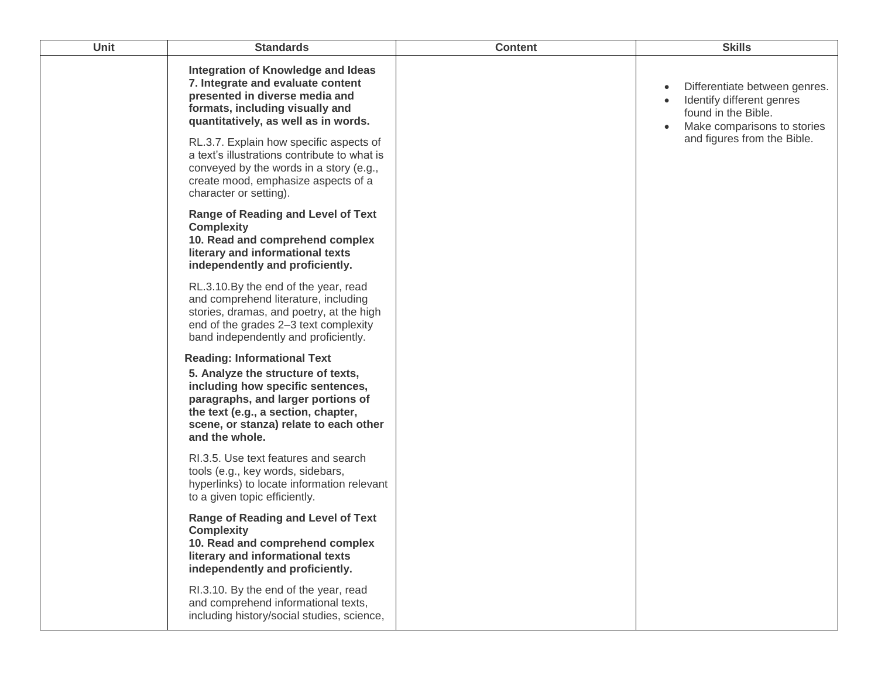| <b>Unit</b> | <b>Standards</b>                                                                                                                                                                                                                                       | <b>Content</b> | <b>Skills</b>                                                                                                    |
|-------------|--------------------------------------------------------------------------------------------------------------------------------------------------------------------------------------------------------------------------------------------------------|----------------|------------------------------------------------------------------------------------------------------------------|
|             | Integration of Knowledge and Ideas<br>7. Integrate and evaluate content<br>presented in diverse media and<br>formats, including visually and<br>quantitatively, as well as in words.                                                                   |                | Differentiate between genres.<br>Identify different genres<br>found in the Bible.<br>Make comparisons to stories |
|             | RL.3.7. Explain how specific aspects of<br>a text's illustrations contribute to what is<br>conveyed by the words in a story (e.g.,<br>create mood, emphasize aspects of a<br>character or setting).                                                    |                | and figures from the Bible.                                                                                      |
|             | <b>Range of Reading and Level of Text</b><br><b>Complexity</b><br>10. Read and comprehend complex<br>literary and informational texts<br>independently and proficiently.                                                                               |                |                                                                                                                  |
|             | RL.3.10.By the end of the year, read<br>and comprehend literature, including<br>stories, dramas, and poetry, at the high<br>end of the grades 2-3 text complexity<br>band independently and proficiently.                                              |                |                                                                                                                  |
|             | <b>Reading: Informational Text</b><br>5. Analyze the structure of texts,<br>including how specific sentences,<br>paragraphs, and larger portions of<br>the text (e.g., a section, chapter,<br>scene, or stanza) relate to each other<br>and the whole. |                |                                                                                                                  |
|             | RI.3.5. Use text features and search<br>tools (e.g., key words, sidebars,<br>hyperlinks) to locate information relevant<br>to a given topic efficiently.                                                                                               |                |                                                                                                                  |
|             | <b>Range of Reading and Level of Text</b><br><b>Complexity</b><br>10. Read and comprehend complex<br>literary and informational texts<br>independently and proficiently.                                                                               |                |                                                                                                                  |
|             | RI.3.10. By the end of the year, read<br>and comprehend informational texts,<br>including history/social studies, science,                                                                                                                             |                |                                                                                                                  |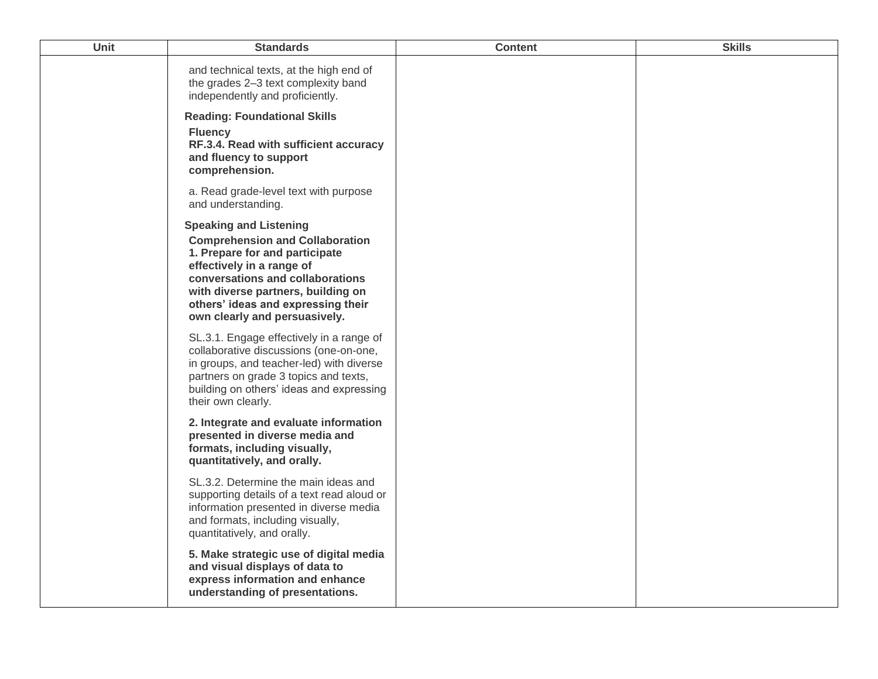| Unit | <b>Standards</b>                                                                                                                                                                                                                                                                        | <b>Content</b> | <b>Skills</b> |
|------|-----------------------------------------------------------------------------------------------------------------------------------------------------------------------------------------------------------------------------------------------------------------------------------------|----------------|---------------|
|      | and technical texts, at the high end of<br>the grades 2-3 text complexity band<br>independently and proficiently.                                                                                                                                                                       |                |               |
|      | <b>Reading: Foundational Skills</b><br><b>Fluency</b><br>RF.3.4. Read with sufficient accuracy<br>and fluency to support<br>comprehension.                                                                                                                                              |                |               |
|      | a. Read grade-level text with purpose<br>and understanding.                                                                                                                                                                                                                             |                |               |
|      | <b>Speaking and Listening</b><br><b>Comprehension and Collaboration</b><br>1. Prepare for and participate<br>effectively in a range of<br>conversations and collaborations<br>with diverse partners, building on<br>others' ideas and expressing their<br>own clearly and persuasively. |                |               |
|      | SL.3.1. Engage effectively in a range of<br>collaborative discussions (one-on-one,<br>in groups, and teacher-led) with diverse<br>partners on grade 3 topics and texts,<br>building on others' ideas and expressing<br>their own clearly.                                               |                |               |
|      | 2. Integrate and evaluate information<br>presented in diverse media and<br>formats, including visually,<br>quantitatively, and orally.                                                                                                                                                  |                |               |
|      | SL.3.2. Determine the main ideas and<br>supporting details of a text read aloud or<br>information presented in diverse media<br>and formats, including visually,<br>quantitatively, and orally.                                                                                         |                |               |
|      | 5. Make strategic use of digital media<br>and visual displays of data to<br>express information and enhance<br>understanding of presentations.                                                                                                                                          |                |               |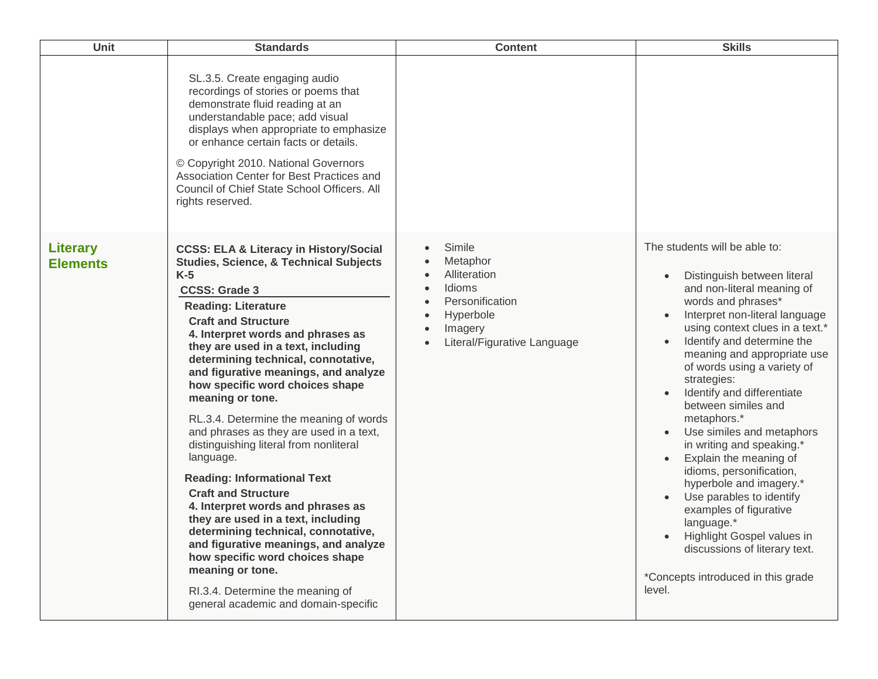| Unit                               | <b>Standards</b>                                                                                                                                                                                                                                                                                                                                                                                                                                                                                                                                                                                                                                                                                                                                                                                                                                                                                                                  | <b>Content</b>                                                                                                                      | <b>Skills</b>                                                                                                                                                                                                                                                                                                                                                                                                                                                                                                                                                                                                                                                                                      |
|------------------------------------|-----------------------------------------------------------------------------------------------------------------------------------------------------------------------------------------------------------------------------------------------------------------------------------------------------------------------------------------------------------------------------------------------------------------------------------------------------------------------------------------------------------------------------------------------------------------------------------------------------------------------------------------------------------------------------------------------------------------------------------------------------------------------------------------------------------------------------------------------------------------------------------------------------------------------------------|-------------------------------------------------------------------------------------------------------------------------------------|----------------------------------------------------------------------------------------------------------------------------------------------------------------------------------------------------------------------------------------------------------------------------------------------------------------------------------------------------------------------------------------------------------------------------------------------------------------------------------------------------------------------------------------------------------------------------------------------------------------------------------------------------------------------------------------------------|
|                                    | SL.3.5. Create engaging audio<br>recordings of stories or poems that<br>demonstrate fluid reading at an<br>understandable pace; add visual<br>displays when appropriate to emphasize<br>or enhance certain facts or details.<br>© Copyright 2010. National Governors<br>Association Center for Best Practices and<br>Council of Chief State School Officers. All<br>rights reserved.                                                                                                                                                                                                                                                                                                                                                                                                                                                                                                                                              |                                                                                                                                     |                                                                                                                                                                                                                                                                                                                                                                                                                                                                                                                                                                                                                                                                                                    |
| <b>Literary</b><br><b>Elements</b> | <b>CCSS: ELA &amp; Literacy in History/Social</b><br><b>Studies, Science, &amp; Technical Subjects</b><br>$K-5$<br><b>CCSS: Grade 3</b><br><b>Reading: Literature</b><br><b>Craft and Structure</b><br>4. Interpret words and phrases as<br>they are used in a text, including<br>determining technical, connotative,<br>and figurative meanings, and analyze<br>how specific word choices shape<br>meaning or tone.<br>RL.3.4. Determine the meaning of words<br>and phrases as they are used in a text,<br>distinguishing literal from nonliteral<br>language.<br><b>Reading: Informational Text</b><br><b>Craft and Structure</b><br>4. Interpret words and phrases as<br>they are used in a text, including<br>determining technical, connotative,<br>and figurative meanings, and analyze<br>how specific word choices shape<br>meaning or tone.<br>RI.3.4. Determine the meaning of<br>general academic and domain-specific | Simile<br>Metaphor<br>Alliteration<br>Idioms<br>$\bullet$<br>Personification<br>Hyperbole<br>Imagery<br>Literal/Figurative Language | The students will be able to:<br>Distinguish between literal<br>and non-literal meaning of<br>words and phrases*<br>Interpret non-literal language<br>using context clues in a text.*<br>Identify and determine the<br>meaning and appropriate use<br>of words using a variety of<br>strategies:<br>Identify and differentiate<br>between similes and<br>metaphors.*<br>Use similes and metaphors<br>in writing and speaking.*<br>Explain the meaning of<br>idioms, personification,<br>hyperbole and imagery.*<br>Use parables to identify<br>examples of figurative<br>language.*<br>Highlight Gospel values in<br>discussions of literary text.<br>*Concepts introduced in this grade<br>level. |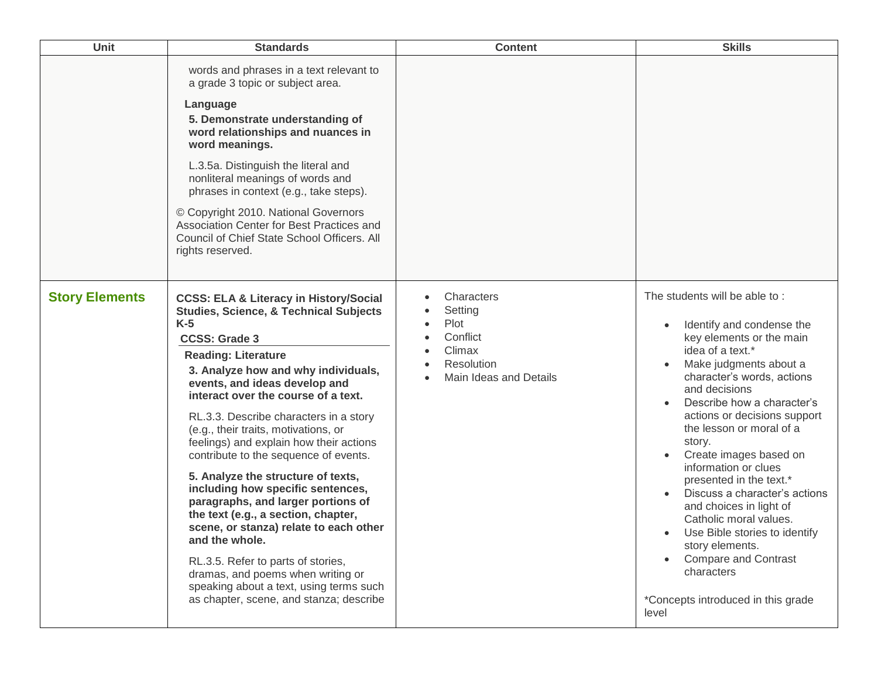| <b>Unit</b>           | <b>Standards</b>                                                                                                                                                                                                                                                                                                                                                                                                                                                                                                                                                                                                                                                                                                                                                                                                                                | <b>Content</b>                                                                              | <b>Skills</b>                                                                                                                                                                                                                                                                                                                                                                                                                                                                                                                                                                                                                             |
|-----------------------|-------------------------------------------------------------------------------------------------------------------------------------------------------------------------------------------------------------------------------------------------------------------------------------------------------------------------------------------------------------------------------------------------------------------------------------------------------------------------------------------------------------------------------------------------------------------------------------------------------------------------------------------------------------------------------------------------------------------------------------------------------------------------------------------------------------------------------------------------|---------------------------------------------------------------------------------------------|-------------------------------------------------------------------------------------------------------------------------------------------------------------------------------------------------------------------------------------------------------------------------------------------------------------------------------------------------------------------------------------------------------------------------------------------------------------------------------------------------------------------------------------------------------------------------------------------------------------------------------------------|
|                       | words and phrases in a text relevant to<br>a grade 3 topic or subject area.<br>Language<br>5. Demonstrate understanding of<br>word relationships and nuances in<br>word meanings.<br>L.3.5a. Distinguish the literal and<br>nonliteral meanings of words and<br>phrases in context (e.g., take steps).<br>© Copyright 2010. National Governors<br>Association Center for Best Practices and<br>Council of Chief State School Officers. All<br>rights reserved.                                                                                                                                                                                                                                                                                                                                                                                  |                                                                                             |                                                                                                                                                                                                                                                                                                                                                                                                                                                                                                                                                                                                                                           |
| <b>Story Elements</b> | <b>CCSS: ELA &amp; Literacy in History/Social</b><br><b>Studies, Science, &amp; Technical Subjects</b><br>$K-5$<br><b>CCSS: Grade 3</b><br><b>Reading: Literature</b><br>3. Analyze how and why individuals,<br>events, and ideas develop and<br>interact over the course of a text.<br>RL.3.3. Describe characters in a story<br>(e.g., their traits, motivations, or<br>feelings) and explain how their actions<br>contribute to the sequence of events.<br>5. Analyze the structure of texts,<br>including how specific sentences,<br>paragraphs, and larger portions of<br>the text (e.g., a section, chapter,<br>scene, or stanza) relate to each other<br>and the whole.<br>RL.3.5. Refer to parts of stories,<br>dramas, and poems when writing or<br>speaking about a text, using terms such<br>as chapter, scene, and stanza; describe | Characters<br>Setting<br>Plot<br>Conflict<br>Climax<br>Resolution<br>Main Ideas and Details | The students will be able to:<br>Identify and condense the<br>$\bullet$<br>key elements or the main<br>idea of a text.*<br>Make judgments about a<br>character's words, actions<br>and decisions<br>Describe how a character's<br>actions or decisions support<br>the lesson or moral of a<br>story.<br>Create images based on<br>information or clues<br>presented in the text.*<br>Discuss a character's actions<br>and choices in light of<br>Catholic moral values.<br>Use Bible stories to identify<br>٠<br>story elements.<br><b>Compare and Contrast</b><br>$\bullet$<br>characters<br>*Concepts introduced in this grade<br>level |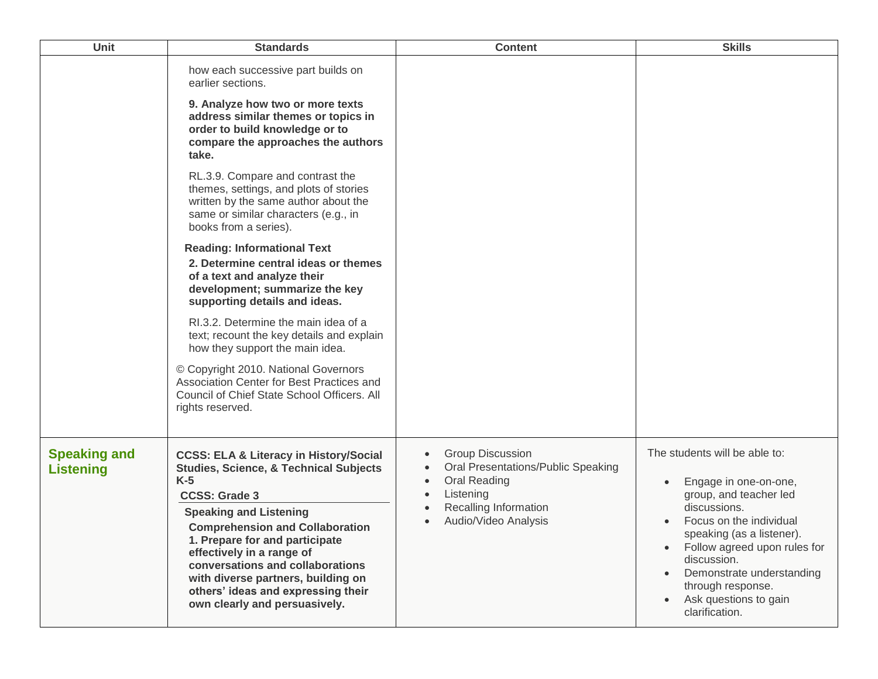| Unit                                    | <b>Standards</b>                                                                                                                                                                                                                                                                                                                                                                                                                   | <b>Content</b>                                                                                                                                                                                                                   | <b>Skills</b>                                                                                                                                                                                                                                                                                                    |
|-----------------------------------------|------------------------------------------------------------------------------------------------------------------------------------------------------------------------------------------------------------------------------------------------------------------------------------------------------------------------------------------------------------------------------------------------------------------------------------|----------------------------------------------------------------------------------------------------------------------------------------------------------------------------------------------------------------------------------|------------------------------------------------------------------------------------------------------------------------------------------------------------------------------------------------------------------------------------------------------------------------------------------------------------------|
|                                         | how each successive part builds on<br>earlier sections.<br>9. Analyze how two or more texts<br>address similar themes or topics in<br>order to build knowledge or to<br>compare the approaches the authors<br>take.                                                                                                                                                                                                                |                                                                                                                                                                                                                                  |                                                                                                                                                                                                                                                                                                                  |
|                                         | RL.3.9. Compare and contrast the<br>themes, settings, and plots of stories<br>written by the same author about the<br>same or similar characters (e.g., in<br>books from a series).                                                                                                                                                                                                                                                |                                                                                                                                                                                                                                  |                                                                                                                                                                                                                                                                                                                  |
|                                         | <b>Reading: Informational Text</b><br>2. Determine central ideas or themes<br>of a text and analyze their<br>development; summarize the key<br>supporting details and ideas.                                                                                                                                                                                                                                                       |                                                                                                                                                                                                                                  |                                                                                                                                                                                                                                                                                                                  |
|                                         | RI.3.2. Determine the main idea of a<br>text; recount the key details and explain<br>how they support the main idea.                                                                                                                                                                                                                                                                                                               |                                                                                                                                                                                                                                  |                                                                                                                                                                                                                                                                                                                  |
|                                         | © Copyright 2010. National Governors<br>Association Center for Best Practices and<br>Council of Chief State School Officers. All<br>rights reserved.                                                                                                                                                                                                                                                                               |                                                                                                                                                                                                                                  |                                                                                                                                                                                                                                                                                                                  |
| <b>Speaking and</b><br><b>Listening</b> | <b>CCSS: ELA &amp; Literacy in History/Social</b><br><b>Studies, Science, &amp; Technical Subjects</b><br>$K-5$<br><b>CCSS: Grade 3</b><br><b>Speaking and Listening</b><br><b>Comprehension and Collaboration</b><br>1. Prepare for and participate<br>effectively in a range of<br>conversations and collaborations<br>with diverse partners, building on<br>others' ideas and expressing their<br>own clearly and persuasively. | <b>Group Discussion</b><br>$\bullet$<br>Oral Presentations/Public Speaking<br>$\bullet$<br><b>Oral Reading</b><br>$\bullet$<br>Listening<br>$\bullet$<br>Recalling Information<br>$\bullet$<br>Audio/Video Analysis<br>$\bullet$ | The students will be able to:<br>Engage in one-on-one,<br>group, and teacher led<br>discussions.<br>Focus on the individual<br>speaking (as a listener)<br>Follow agreed upon rules for<br>discussion.<br>Demonstrate understanding<br>through response.<br>Ask questions to gain<br>$\bullet$<br>clarification. |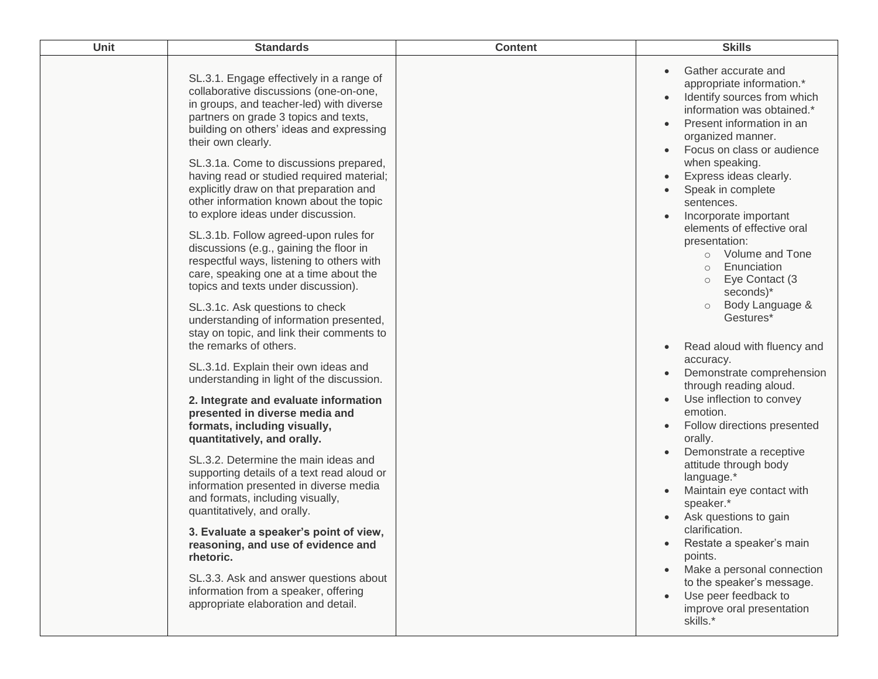| Unit | <b>Standards</b>                                                                                                                                                                                                                          | <b>Content</b> | <b>Skills</b>                                                                                                                                                                                 |
|------|-------------------------------------------------------------------------------------------------------------------------------------------------------------------------------------------------------------------------------------------|----------------|-----------------------------------------------------------------------------------------------------------------------------------------------------------------------------------------------|
|      | SL.3.1. Engage effectively in a range of<br>collaborative discussions (one-on-one,<br>in groups, and teacher-led) with diverse<br>partners on grade 3 topics and texts,<br>building on others' ideas and expressing<br>their own clearly. |                | Gather accurate and<br>appropriate information.*<br>Identify sources from which<br>information was obtained.*<br>Present information in an<br>organized manner.<br>Focus on class or audience |
|      | SL.3.1a. Come to discussions prepared,<br>having read or studied required material;<br>explicitly draw on that preparation and<br>other information known about the topic<br>to explore ideas under discussion.                           |                | when speaking.<br>Express ideas clearly.<br>Speak in complete<br>sentences.<br>Incorporate important                                                                                          |
|      | SL.3.1b. Follow agreed-upon rules for<br>discussions (e.g., gaining the floor in<br>respectful ways, listening to others with<br>care, speaking one at a time about the<br>topics and texts under discussion).                            |                | elements of effective oral<br>presentation:<br>Volume and Tone<br>$\circ$<br>Enunciation<br>$\Omega$<br>Eye Contact (3<br>$\circ$<br>seconds)*                                                |
|      | SL.3.1c. Ask questions to check<br>understanding of information presented,<br>stay on topic, and link their comments to<br>the remarks of others.                                                                                         |                | Body Language &<br>$\circ$<br>Gestures*<br>Read aloud with fluency and                                                                                                                        |
|      | SL.3.1d. Explain their own ideas and<br>understanding in light of the discussion.                                                                                                                                                         |                | accuracy.<br>Demonstrate comprehension<br>through reading aloud.                                                                                                                              |
|      | 2. Integrate and evaluate information<br>presented in diverse media and<br>formats, including visually,<br>quantitatively, and orally.                                                                                                    |                | Use inflection to convey<br>emotion.<br>Follow directions presented<br>orally.                                                                                                                |
|      | SL.3.2. Determine the main ideas and<br>supporting details of a text read aloud or<br>information presented in diverse media<br>and formats, including visually,<br>quantitatively, and orally.                                           |                | Demonstrate a receptive<br>attitude through body<br>language.*<br>Maintain eye contact with<br>speaker.*<br>Ask questions to gain                                                             |
|      | 3. Evaluate a speaker's point of view,<br>reasoning, and use of evidence and<br>rhetoric.                                                                                                                                                 |                | clarification.<br>Restate a speaker's main<br>$\bullet$<br>points.                                                                                                                            |
|      | SL.3.3. Ask and answer questions about<br>information from a speaker, offering<br>appropriate elaboration and detail.                                                                                                                     |                | Make a personal connection<br>to the speaker's message.<br>Use peer feedback to<br>improve oral presentation<br>skills.*                                                                      |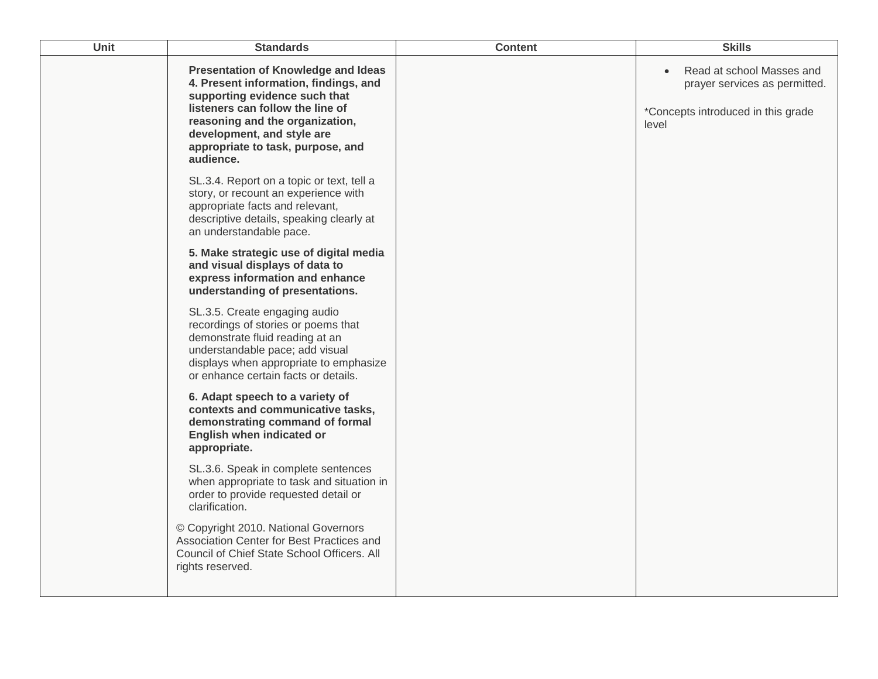| Unit | <b>Standards</b>                                                                                                                                                                                                                                                            | <b>Content</b> | <b>Skills</b>                                                                                                          |
|------|-----------------------------------------------------------------------------------------------------------------------------------------------------------------------------------------------------------------------------------------------------------------------------|----------------|------------------------------------------------------------------------------------------------------------------------|
|      | <b>Presentation of Knowledge and Ideas</b><br>4. Present information, findings, and<br>supporting evidence such that<br>listeners can follow the line of<br>reasoning and the organization,<br>development, and style are<br>appropriate to task, purpose, and<br>audience. |                | Read at school Masses and<br>$\bullet$<br>prayer services as permitted.<br>*Concepts introduced in this grade<br>level |
|      | SL.3.4. Report on a topic or text, tell a<br>story, or recount an experience with<br>appropriate facts and relevant,<br>descriptive details, speaking clearly at<br>an understandable pace.                                                                                 |                |                                                                                                                        |
|      | 5. Make strategic use of digital media<br>and visual displays of data to<br>express information and enhance<br>understanding of presentations.                                                                                                                              |                |                                                                                                                        |
|      | SL.3.5. Create engaging audio<br>recordings of stories or poems that<br>demonstrate fluid reading at an<br>understandable pace; add visual<br>displays when appropriate to emphasize<br>or enhance certain facts or details.                                                |                |                                                                                                                        |
|      | 6. Adapt speech to a variety of<br>contexts and communicative tasks,<br>demonstrating command of formal<br>English when indicated or<br>appropriate.                                                                                                                        |                |                                                                                                                        |
|      | SL.3.6. Speak in complete sentences<br>when appropriate to task and situation in<br>order to provide requested detail or<br>clarification.                                                                                                                                  |                |                                                                                                                        |
|      | © Copyright 2010. National Governors<br>Association Center for Best Practices and<br>Council of Chief State School Officers. All<br>rights reserved.                                                                                                                        |                |                                                                                                                        |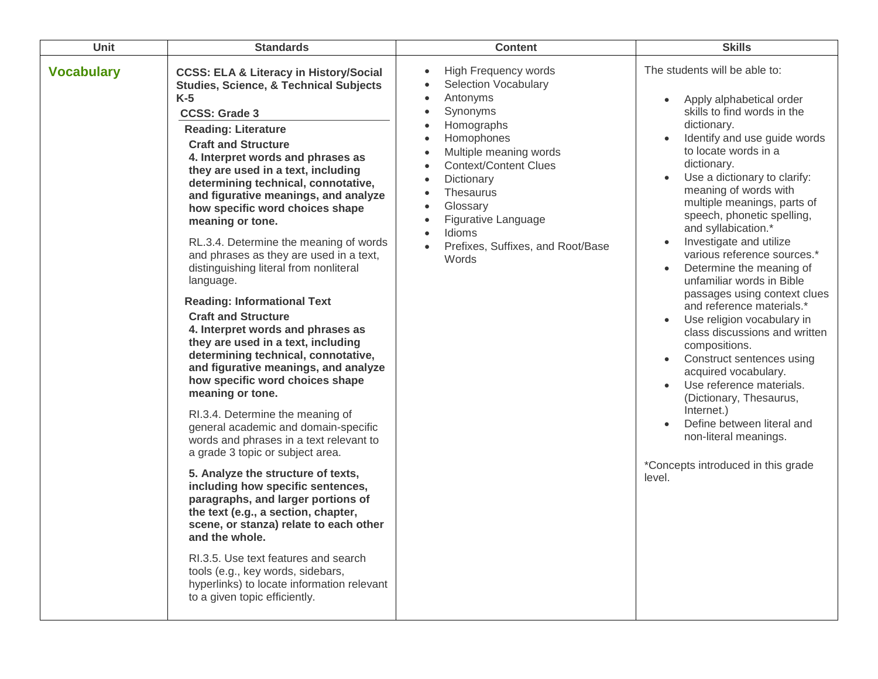| <b>Unit</b>       | <b>Standards</b>                                                                                                                                                                                                                                                                                                                                                                                                                                                                                                                                                                                                                                                                                                                                                                                                                                                                                                                                                                                                                                                                                                                                                                                                                                                                                                                                                                                 | <b>Content</b>                                                                                                                                                                                                                                                                                                                        | <b>Skills</b>                                                                                                                                                                                                                                                                                                                                                                                                                                                                                                                                                                                                                                                                                                                                                                                                                                                                                                                        |
|-------------------|--------------------------------------------------------------------------------------------------------------------------------------------------------------------------------------------------------------------------------------------------------------------------------------------------------------------------------------------------------------------------------------------------------------------------------------------------------------------------------------------------------------------------------------------------------------------------------------------------------------------------------------------------------------------------------------------------------------------------------------------------------------------------------------------------------------------------------------------------------------------------------------------------------------------------------------------------------------------------------------------------------------------------------------------------------------------------------------------------------------------------------------------------------------------------------------------------------------------------------------------------------------------------------------------------------------------------------------------------------------------------------------------------|---------------------------------------------------------------------------------------------------------------------------------------------------------------------------------------------------------------------------------------------------------------------------------------------------------------------------------------|--------------------------------------------------------------------------------------------------------------------------------------------------------------------------------------------------------------------------------------------------------------------------------------------------------------------------------------------------------------------------------------------------------------------------------------------------------------------------------------------------------------------------------------------------------------------------------------------------------------------------------------------------------------------------------------------------------------------------------------------------------------------------------------------------------------------------------------------------------------------------------------------------------------------------------------|
| <b>Vocabulary</b> | <b>CCSS: ELA &amp; Literacy in History/Social</b><br><b>Studies, Science, &amp; Technical Subjects</b><br>$K-5$<br><b>CCSS: Grade 3</b><br><b>Reading: Literature</b><br><b>Craft and Structure</b><br>4. Interpret words and phrases as<br>they are used in a text, including<br>determining technical, connotative,<br>and figurative meanings, and analyze<br>how specific word choices shape<br>meaning or tone.<br>RL.3.4. Determine the meaning of words<br>and phrases as they are used in a text,<br>distinguishing literal from nonliteral<br>language.<br><b>Reading: Informational Text</b><br><b>Craft and Structure</b><br>4. Interpret words and phrases as<br>they are used in a text, including<br>determining technical, connotative,<br>and figurative meanings, and analyze<br>how specific word choices shape<br>meaning or tone.<br>RI.3.4. Determine the meaning of<br>general academic and domain-specific<br>words and phrases in a text relevant to<br>a grade 3 topic or subject area.<br>5. Analyze the structure of texts,<br>including how specific sentences,<br>paragraphs, and larger portions of<br>the text (e.g., a section, chapter,<br>scene, or stanza) relate to each other<br>and the whole.<br>RI.3.5. Use text features and search<br>tools (e.g., key words, sidebars,<br>hyperlinks) to locate information relevant<br>to a given topic efficiently. | <b>High Frequency words</b><br>$\bullet$<br><b>Selection Vocabulary</b><br>Antonyms<br>Synonyms<br>Homographs<br>Homophones<br>Multiple meaning words<br><b>Context/Content Clues</b><br>Dictionary<br>Thesaurus<br>Glossary<br>Figurative Language<br>$\bullet$<br>Idioms<br>$\bullet$<br>Prefixes, Suffixes, and Root/Base<br>Words | The students will be able to:<br>Apply alphabetical order<br>$\bullet$<br>skills to find words in the<br>dictionary.<br>Identify and use guide words<br>$\bullet$<br>to locate words in a<br>dictionary.<br>Use a dictionary to clarify:<br>$\bullet$<br>meaning of words with<br>multiple meanings, parts of<br>speech, phonetic spelling,<br>and syllabication.*<br>Investigate and utilize<br>$\bullet$<br>various reference sources.*<br>Determine the meaning of<br>$\bullet$<br>unfamiliar words in Bible<br>passages using context clues<br>and reference materials.*<br>Use religion vocabulary in<br>$\bullet$<br>class discussions and written<br>compositions.<br>Construct sentences using<br>$\bullet$<br>acquired vocabulary.<br>Use reference materials.<br>(Dictionary, Thesaurus,<br>Internet.)<br>Define between literal and<br>$\bullet$<br>non-literal meanings.<br>*Concepts introduced in this grade<br>level. |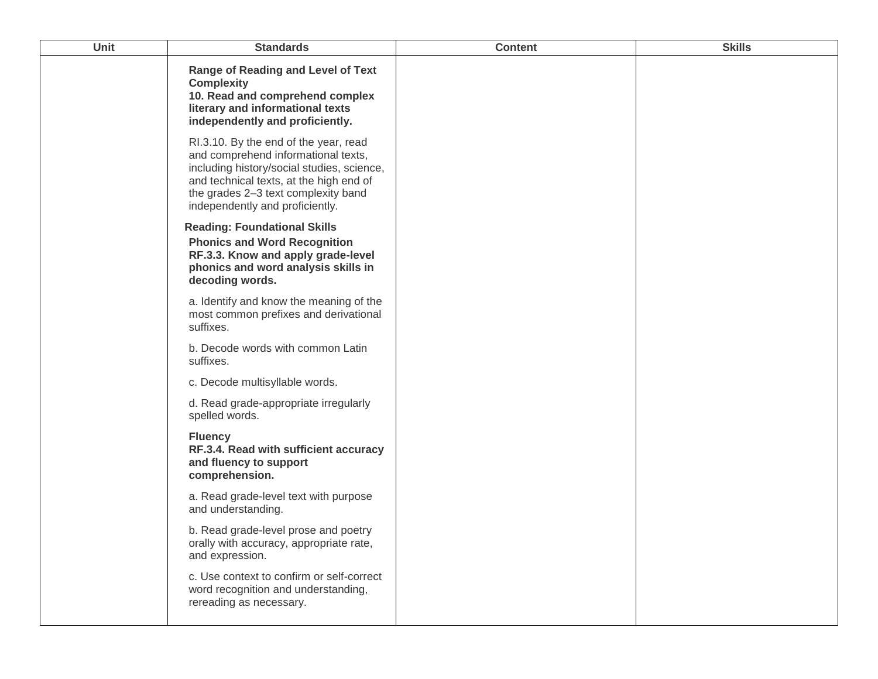| Unit | <b>Standards</b>                                                                                                                                                                                                                                | <b>Content</b> | <b>Skills</b> |
|------|-------------------------------------------------------------------------------------------------------------------------------------------------------------------------------------------------------------------------------------------------|----------------|---------------|
|      | <b>Range of Reading and Level of Text</b><br><b>Complexity</b><br>10. Read and comprehend complex<br>literary and informational texts<br>independently and proficiently.                                                                        |                |               |
|      | RI.3.10. By the end of the year, read<br>and comprehend informational texts,<br>including history/social studies, science,<br>and technical texts, at the high end of<br>the grades 2-3 text complexity band<br>independently and proficiently. |                |               |
|      | <b>Reading: Foundational Skills</b><br><b>Phonics and Word Recognition</b><br>RF.3.3. Know and apply grade-level<br>phonics and word analysis skills in<br>decoding words.                                                                      |                |               |
|      | a. Identify and know the meaning of the<br>most common prefixes and derivational<br>suffixes.                                                                                                                                                   |                |               |
|      | b. Decode words with common Latin<br>suffixes.                                                                                                                                                                                                  |                |               |
|      | c. Decode multisyllable words.                                                                                                                                                                                                                  |                |               |
|      | d. Read grade-appropriate irregularly<br>spelled words.                                                                                                                                                                                         |                |               |
|      | <b>Fluency</b><br>RF.3.4. Read with sufficient accuracy<br>and fluency to support<br>comprehension.                                                                                                                                             |                |               |
|      | a. Read grade-level text with purpose<br>and understanding.                                                                                                                                                                                     |                |               |
|      | b. Read grade-level prose and poetry<br>orally with accuracy, appropriate rate,<br>and expression.                                                                                                                                              |                |               |
|      | c. Use context to confirm or self-correct<br>word recognition and understanding,<br>rereading as necessary.                                                                                                                                     |                |               |
|      |                                                                                                                                                                                                                                                 |                |               |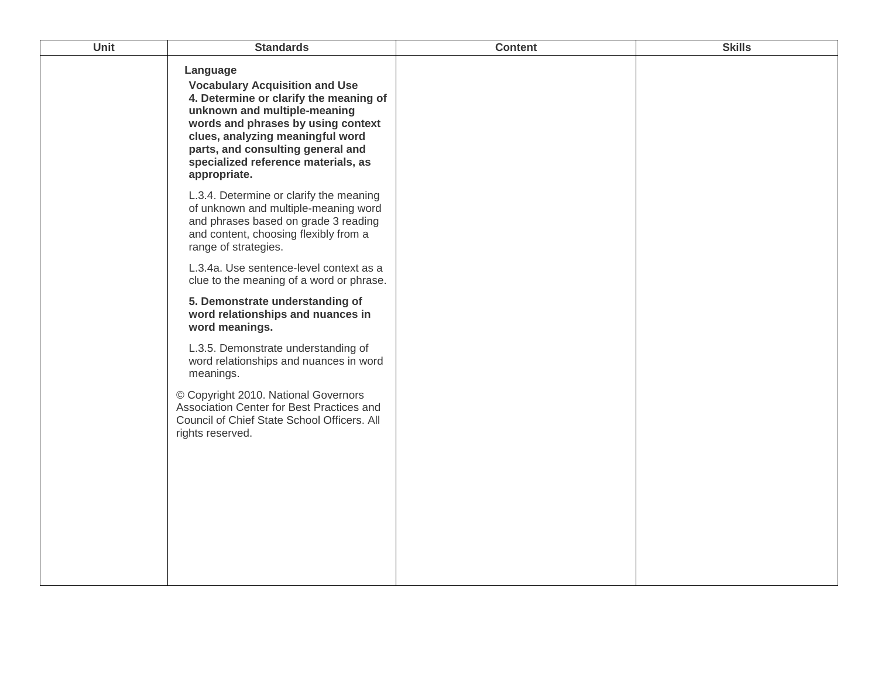| Unit | <b>Standards</b>                                                                                                                                                                                                                                                                                  | <b>Content</b> | <b>Skills</b> |
|------|---------------------------------------------------------------------------------------------------------------------------------------------------------------------------------------------------------------------------------------------------------------------------------------------------|----------------|---------------|
|      | Language<br><b>Vocabulary Acquisition and Use</b><br>4. Determine or clarify the meaning of<br>unknown and multiple-meaning<br>words and phrases by using context<br>clues, analyzing meaningful word<br>parts, and consulting general and<br>specialized reference materials, as<br>appropriate. |                |               |
|      | L.3.4. Determine or clarify the meaning<br>of unknown and multiple-meaning word<br>and phrases based on grade 3 reading<br>and content, choosing flexibly from a<br>range of strategies.                                                                                                          |                |               |
|      | L.3.4a. Use sentence-level context as a<br>clue to the meaning of a word or phrase.                                                                                                                                                                                                               |                |               |
|      | 5. Demonstrate understanding of<br>word relationships and nuances in<br>word meanings.                                                                                                                                                                                                            |                |               |
|      | L.3.5. Demonstrate understanding of<br>word relationships and nuances in word<br>meanings.                                                                                                                                                                                                        |                |               |
|      | © Copyright 2010. National Governors<br>Association Center for Best Practices and<br>Council of Chief State School Officers. All<br>rights reserved.                                                                                                                                              |                |               |
|      |                                                                                                                                                                                                                                                                                                   |                |               |
|      |                                                                                                                                                                                                                                                                                                   |                |               |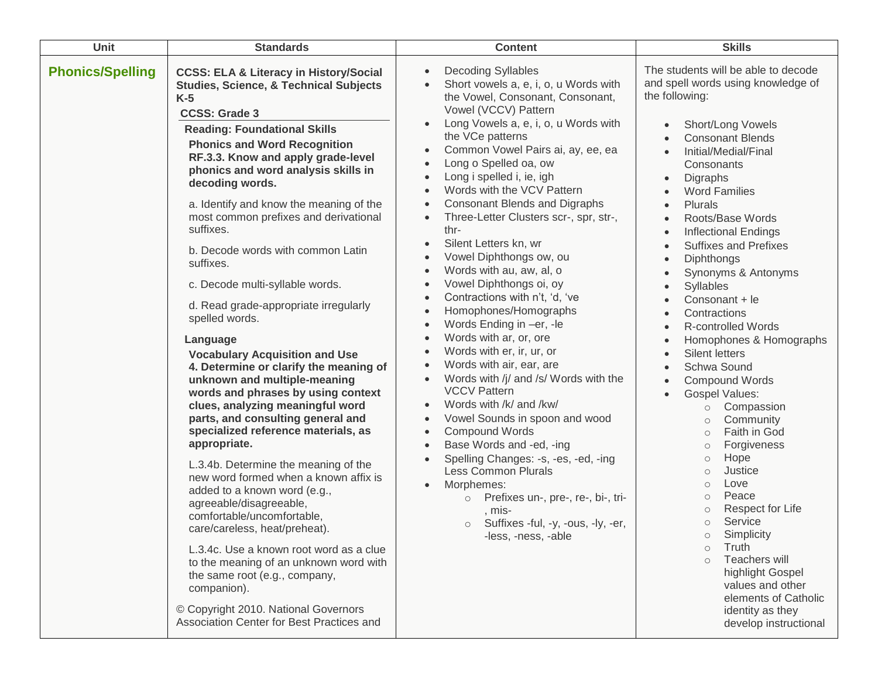| Unit                    | <b>Standards</b>                                                                                                                                                                                                                                                                                                                                                                                                                                                                                                                                                                                                                                                                                                                                                                                                                                                                                                                                                                                                                                                                                                                                                                                                                                                                                                 | <b>Content</b>                                                                                                                                                                                                                                                                                                                                                                                                                                                                                                                                                                                                                                                                                                                                                                                                                                                                                                                                                                                                                                                                                                                                                                                                                                                                                                                                                                                                                      | <b>Skills</b>                                                                                                                                                                                                                                                                                                                                                                                                                                                                                                                                                                                                                                                                                                                                                                                                                                                                                                                                                                                                                                                                                                                                                                                                                                                              |
|-------------------------|------------------------------------------------------------------------------------------------------------------------------------------------------------------------------------------------------------------------------------------------------------------------------------------------------------------------------------------------------------------------------------------------------------------------------------------------------------------------------------------------------------------------------------------------------------------------------------------------------------------------------------------------------------------------------------------------------------------------------------------------------------------------------------------------------------------------------------------------------------------------------------------------------------------------------------------------------------------------------------------------------------------------------------------------------------------------------------------------------------------------------------------------------------------------------------------------------------------------------------------------------------------------------------------------------------------|-------------------------------------------------------------------------------------------------------------------------------------------------------------------------------------------------------------------------------------------------------------------------------------------------------------------------------------------------------------------------------------------------------------------------------------------------------------------------------------------------------------------------------------------------------------------------------------------------------------------------------------------------------------------------------------------------------------------------------------------------------------------------------------------------------------------------------------------------------------------------------------------------------------------------------------------------------------------------------------------------------------------------------------------------------------------------------------------------------------------------------------------------------------------------------------------------------------------------------------------------------------------------------------------------------------------------------------------------------------------------------------------------------------------------------------|----------------------------------------------------------------------------------------------------------------------------------------------------------------------------------------------------------------------------------------------------------------------------------------------------------------------------------------------------------------------------------------------------------------------------------------------------------------------------------------------------------------------------------------------------------------------------------------------------------------------------------------------------------------------------------------------------------------------------------------------------------------------------------------------------------------------------------------------------------------------------------------------------------------------------------------------------------------------------------------------------------------------------------------------------------------------------------------------------------------------------------------------------------------------------------------------------------------------------------------------------------------------------|
| <b>Phonics/Spelling</b> | <b>CCSS: ELA &amp; Literacy in History/Social</b><br><b>Studies, Science, &amp; Technical Subjects</b><br>$K-5$<br><b>CCSS: Grade 3</b><br><b>Reading: Foundational Skills</b><br><b>Phonics and Word Recognition</b><br>RF.3.3. Know and apply grade-level<br>phonics and word analysis skills in<br>decoding words.<br>a. Identify and know the meaning of the<br>most common prefixes and derivational<br>suffixes.<br>b. Decode words with common Latin<br>suffixes.<br>c. Decode multi-syllable words.<br>d. Read grade-appropriate irregularly<br>spelled words.<br>Language<br><b>Vocabulary Acquisition and Use</b><br>4. Determine or clarify the meaning of<br>unknown and multiple-meaning<br>words and phrases by using context<br>clues, analyzing meaningful word<br>parts, and consulting general and<br>specialized reference materials, as<br>appropriate.<br>L.3.4b. Determine the meaning of the<br>new word formed when a known affix is<br>added to a known word (e.g.,<br>agreeable/disagreeable,<br>comfortable/uncomfortable,<br>care/careless, heat/preheat).<br>L.3.4c. Use a known root word as a clue<br>to the meaning of an unknown word with<br>the same root (e.g., company,<br>companion).<br>© Copyright 2010. National Governors<br>Association Center for Best Practices and | <b>Decoding Syllables</b><br>$\bullet$<br>Short vowels a, e, i, o, u Words with<br>$\bullet$<br>the Vowel, Consonant, Consonant,<br>Vowel (VCCV) Pattern<br>Long Vowels a, e, i, o, u Words with<br>$\bullet$<br>the VCe patterns<br>Common Vowel Pairs ai, ay, ee, ea<br>$\bullet$<br>Long o Spelled oa, ow<br>Long i spelled i, ie, igh<br>$\bullet$<br>Words with the VCV Pattern<br>$\bullet$<br><b>Consonant Blends and Digraphs</b><br>$\bullet$<br>Three-Letter Clusters scr-, spr, str-,<br>$\bullet$<br>thr-<br>Silent Letters kn, wr<br>$\bullet$<br>Vowel Diphthongs ow, ou<br>Words with au, aw, al, o<br>$\bullet$<br>Vowel Diphthongs oi, oy<br>$\bullet$<br>Contractions with n't, 'd, 've<br>$\bullet$<br>Homophones/Homographs<br>$\bullet$<br>Words Ending in -er, -le<br>$\bullet$<br>Words with ar, or, ore<br>$\bullet$<br>Words with er, ir, ur, or<br>$\bullet$<br>Words with air, ear, are<br>$\bullet$<br>Words with /j/ and /s/ Words with the<br>$\bullet$<br><b>VCCV Pattern</b><br>Words with /k/ and /kw/<br>$\bullet$<br>Vowel Sounds in spoon and wood<br>$\bullet$<br><b>Compound Words</b><br>$\bullet$<br>Base Words and -ed, -ing<br>$\bullet$<br>Spelling Changes: -s, -es, -ed, -ing<br>$\bullet$<br><b>Less Common Plurals</b><br>Morphemes:<br>$\bullet$<br>Prefixes un-, pre-, re-, bi-, tri-<br>$\circ$<br>, mis-<br>Suffixes -ful, -y, -ous, -ly, -er,<br>$\circ$<br>-less, -ness, -able | The students will be able to decode<br>and spell words using knowledge of<br>the following:<br>Short/Long Vowels<br>$\bullet$<br><b>Consonant Blends</b><br>$\bullet$<br>Initial/Medial/Final<br>$\bullet$<br>Consonants<br>Digraphs<br>$\bullet$<br><b>Word Families</b><br>$\bullet$<br>Plurals<br>$\bullet$<br>Roots/Base Words<br>$\bullet$<br><b>Inflectional Endings</b><br>$\bullet$<br><b>Suffixes and Prefixes</b><br>$\bullet$<br><b>Diphthongs</b><br>$\bullet$<br>Synonyms & Antonyms<br>$\bullet$<br>Syllables<br>$\bullet$<br>Consonant + le<br>$\bullet$<br>Contractions<br>$\bullet$<br><b>R-controlled Words</b><br>$\bullet$<br>Homophones & Homographs<br>$\bullet$<br>Silent letters<br>$\bullet$<br>Schwa Sound<br>$\bullet$<br><b>Compound Words</b><br>$\bullet$<br><b>Gospel Values:</b><br>$\bullet$<br>Compassion<br>$\circ$<br>Community<br>$\circ$<br>Faith in God<br>$\circ$<br>Forgiveness<br>$\circ$<br>Hope<br>$\circ$<br>Justice<br>$\circ$<br>Love<br>$\circ$<br>Peace<br>$\circ$<br>Respect for Life<br>$\circ$<br>Service<br>$\circ$<br>Simplicity<br>$\circlearrowright$<br>Truth<br>$\circ$<br>Teachers will<br>$\circ$<br>highlight Gospel<br>values and other<br>elements of Catholic<br>identity as they<br>develop instructional |